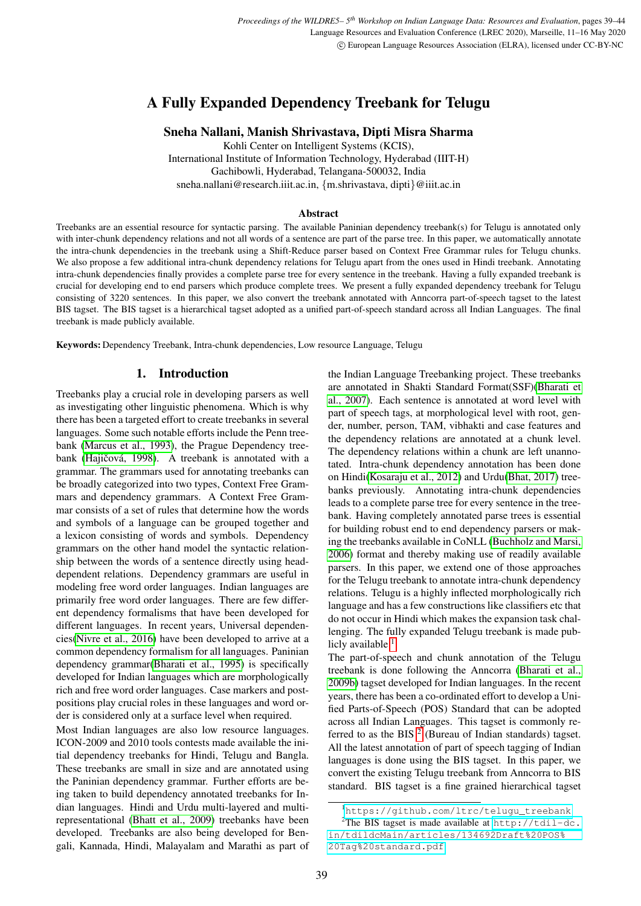# A Fully Expanded Dependency Treebank for Telugu

# Sneha Nallani, Manish Shrivastava, Dipti Misra Sharma

Kohli Center on Intelligent Systems (KCIS), International Institute of Information Technology, Hyderabad (IIIT-H) Gachibowli, Hyderabad, Telangana-500032, India sneha.nallani@research.iiit.ac.in, {m.shrivastava, dipti}@iiit.ac.in

#### Abstract

Treebanks are an essential resource for syntactic parsing. The available Paninian dependency treebank(s) for Telugu is annotated only with inter-chunk dependency relations and not all words of a sentence are part of the parse tree. In this paper, we automatically annotate the intra-chunk dependencies in the treebank using a Shift-Reduce parser based on Context Free Grammar rules for Telugu chunks. We also propose a few additional intra-chunk dependency relations for Telugu apart from the ones used in Hindi treebank. Annotating intra-chunk dependencies finally provides a complete parse tree for every sentence in the treebank. Having a fully expanded treebank is crucial for developing end to end parsers which produce complete trees. We present a fully expanded dependency treebank for Telugu consisting of 3220 sentences. In this paper, we also convert the treebank annotated with Anncorra part-of-speech tagset to the latest BIS tagset. The BIS tagset is a hierarchical tagset adopted as a unified part-of-speech standard across all Indian Languages. The final treebank is made publicly available.

Keywords: Dependency Treebank, Intra-chunk dependencies, Low resource Language, Telugu

# 1. Introduction

Treebanks play a crucial role in developing parsers as well as investigating other linguistic phenomena. Which is why there has been a targeted effort to create treebanks in several languages. Some such notable efforts include the Penn treebank [\(Marcus et al., 1993\)](#page-5-0), the Prague Dependency treebank (Hajičová, 1998). A treebank is annotated with a grammar. The grammars used for annotating treebanks can be broadly categorized into two types, Context Free Grammars and dependency grammars. A Context Free Grammar consists of a set of rules that determine how the words and symbols of a language can be grouped together and a lexicon consisting of words and symbols. Dependency grammars on the other hand model the syntactic relationship between the words of a sentence directly using headdependent relations. Dependency grammars are useful in modeling free word order languages. Indian languages are primarily free word order languages. There are few different dependency formalisms that have been developed for different languages. In recent years, Universal dependencies[\(Nivre et al., 2016\)](#page-5-1) have been developed to arrive at a common dependency formalism for all languages. Paninian dependency grammar[\(Bharati et al., 1995\)](#page-4-1) is specifically developed for Indian languages which are morphologically rich and free word order languages. Case markers and postpositions play crucial roles in these languages and word order is considered only at a surface level when required.

Most Indian languages are also low resource languages. ICON-2009 and 2010 tools contests made available the initial dependency treebanks for Hindi, Telugu and Bangla. These treebanks are small in size and are annotated using the Paninian dependency grammar. Further efforts are being taken to build dependency annotated treebanks for Indian languages. Hindi and Urdu multi-layered and multirepresentational [\(Bhatt et al., 2009\)](#page-4-2) treebanks have been developed. Treebanks are also being developed for Bengali, Kannada, Hindi, Malayalam and Marathi as part of the Indian Language Treebanking project. These treebanks are annotated in Shakti Standard Format(SSF)[\(Bharati et](#page-4-3) [al., 2007\)](#page-4-3). Each sentence is annotated at word level with part of speech tags, at morphological level with root, gender, number, person, TAM, vibhakti and case features and the dependency relations are annotated at a chunk level. The dependency relations within a chunk are left unannotated. Intra-chunk dependency annotation has been done on Hindi[\(Kosaraju et al., 2012\)](#page-4-4) and Urdu[\(Bhat, 2017\)](#page-4-5) treebanks previously. Annotating intra-chunk dependencies leads to a complete parse tree for every sentence in the treebank. Having completely annotated parse trees is essential for building robust end to end dependency parsers or making the treebanks available in CoNLL [\(Buchholz and Marsi,](#page-4-6) [2006\)](#page-4-6) format and thereby making use of readily available parsers. In this paper, we extend one of those approaches for the Telugu treebank to annotate intra-chunk dependency relations. Telugu is a highly inflected morphologically rich language and has a few constructions like classifiers etc that do not occur in Hindi which makes the expansion task challenging. The fully expanded Telugu treebank is made pub-licly available <sup>[1](#page-0-0)</sup>.

The part-of-speech and chunk annotation of the Telugu treebank is done following the Anncorra [\(Bharati et al.,](#page-4-7) [2009b\)](#page-4-7) tagset developed for Indian languages. In the recent years, there has been a co-ordinated effort to develop a Unified Parts-of-Speech (POS) Standard that can be adopted across all Indian Languages. This tagset is commonly referred to as the BIS  $2$  (Bureau of Indian standards) tagset. All the latest annotation of part of speech tagging of Indian languages is done using the BIS tagset. In this paper, we convert the existing Telugu treebank from Anncorra to BIS standard. BIS tagset is a fine grained hierarchical tagset

<span id="page-0-1"></span><span id="page-0-0"></span><sup>1</sup>[https://github.com/ltrc/telugu\\_treebank](https://github.com/ltrc/telugu_treebank)

<sup>&</sup>lt;sup>2</sup>The BIS tagset is made available at  $http://tdil-dc.$ [in/tdildcMain/articles/134692Draft%20POS%](http://tdil-dc.in/tdildcMain/articles/134692Draft%20POS%20Tag%20standard.pdf) [20Tag%20standard.pdf](http://tdil-dc.in/tdildcMain/articles/134692Draft%20POS%20Tag%20standard.pdf)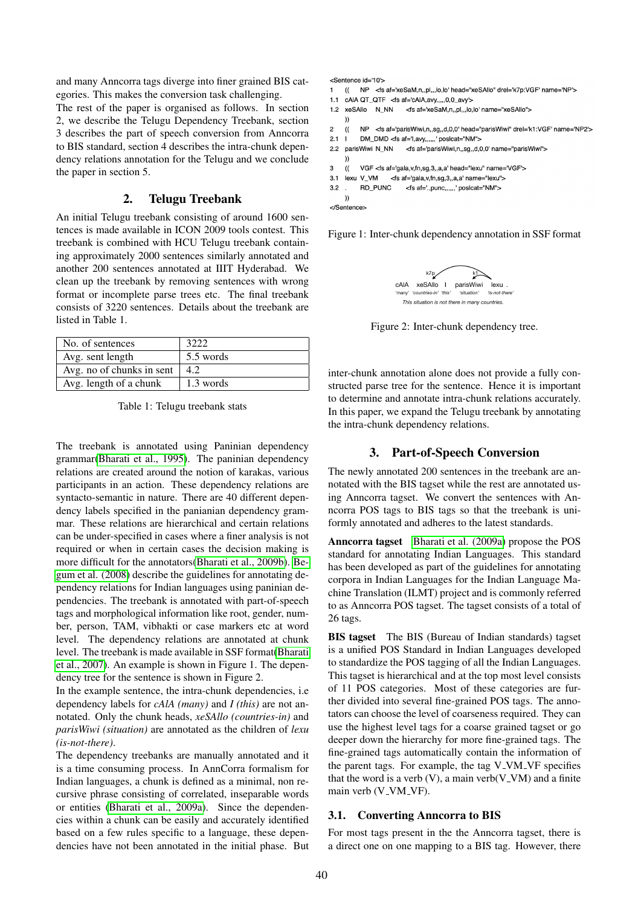and many Anncorra tags diverge into finer grained BIS categories. This makes the conversion task challenging.

The rest of the paper is organised as follows. In section 2, we describe the Telugu Dependency Treebank, section 3 describes the part of speech conversion from Anncorra to BIS standard, section 4 describes the intra-chunk dependency relations annotation for the Telugu and we conclude the paper in section 5.

# 2. Telugu Treebank

An initial Telugu treebank consisting of around 1600 sentences is made available in ICON 2009 tools contest. This treebank is combined with HCU Telugu treebank containing approximately 2000 sentences similarly annotated and another 200 sentences annotated at IIIT Hyderabad. We clean up the treebank by removing sentences with wrong format or incomplete parse trees etc. The final treebank consists of 3220 sentences. Details about the treebank are listed in Table 1.

| No. of sentences          | 3222      |
|---------------------------|-----------|
| Avg. sent length          | 5.5 words |
| Avg. no of chunks in sent | 4.2.      |
| Avg. length of a chunk    | 1.3 words |

Table 1: Telugu treebank stats

The treebank is annotated using Paninian dependency grammar[\(Bharati et al., 1995\)](#page-4-1). The paninian dependency relations are created around the notion of karakas, various participants in an action. These dependency relations are syntacto-semantic in nature. There are 40 different dependency labels specified in the panianian dependency grammar. These relations are hierarchical and certain relations can be under-specified in cases where a finer analysis is not required or when in certain cases the decision making is more difficult for the annotators[\(Bharati et al., 2009b\)](#page-4-7). [Be](#page-4-8)[gum et al. \(2008\)](#page-4-8) describe the guidelines for annotating dependency relations for Indian languages using paninian dependencies. The treebank is annotated with part-of-speech tags and morphological information like root, gender, number, person, TAM, vibhakti or case markers etc at word level. The dependency relations are annotated at chunk level. The treebank is made available in SSF format[\(Bharati](#page-4-3) [et al., 2007\)](#page-4-3). An example is shown in Figure 1. The dependency tree for the sentence is shown in Figure 2.

In the example sentence, the intra-chunk dependencies, i.e dependency labels for *cAlA (many)* and *I (this)* are not annotated. Only the chunk heads, *xeSAllo (countries-in)* and *parisWiwi (situation)* are annotated as the children of *lexu (is-not-there)*.

The dependency treebanks are manually annotated and it is a time consuming process. In AnnCorra formalism for Indian languages, a chunk is defined as a minimal, non recursive phrase consisting of correlated, inseparable words or entities [\(Bharati et al., 2009a\)](#page-4-9). Since the dependencies within a chunk can be easily and accurately identified based on a few rules specific to a language, these dependencies have not been annotated in the initial phase. But <Sentence id='10'>

1 (( NP <fs af='xeSaM,n,,pl,,,lo,lo' head="xeSAllo" drel='k7p:VGF' name='NP'>

```
1.1 cAIA QT_QTF <fs af='cAIA,avy,,,,,0,0_avy'>
```
1.2 xeSAllo N\_NN <fs af='xeSaM,n,,pl,,,lo,lo' name="xeSAllo">

 $\overline{2}$ NP <fs af='parisWiwi,n,,sg,,d,0,0' head="parisWiwi" drel='k1:VGF' name='NP2'>  $\mathcal{U}$ 

```
2.1 \quad |DM_DMD <fs af='l,avy,,,,,,'posicat="NM">
```
2.2 parisWiwi N\_NN <fs af='parisWiwi,n,,sg,,d,0,0' name="parisWiwi">

 $\mathbf{a}$  $\mathcal{U}$ VGF <fs af='gala,v,fn,sg,3,,a,a' head="lexu" name='VGF'>

 $3.2$ **BD PUNC** <fs af='.,punc,,,,,,' posicat="NM"> n a

```
\mathcal{V}
```
</Sentence>

 $\mathcal{V}$ 

Figure 1: Inter-chunk dependency annotation in SSF format



Figure 2: Inter-chunk dependency tree.

inter-chunk annotation alone does not provide a fully constructed parse tree for the sentence. Hence it is important to determine and annotate intra-chunk relations accurately. In this paper, we expand the Telugu treebank by annotating the intra-chunk dependency relations.

#### 3. Part-of-Speech Conversion

The newly annotated 200 sentences in the treebank are annotated with the BIS tagset while the rest are annotated using Anncorra tagset. We convert the sentences with Anncorra POS tags to BIS tags so that the treebank is uniformly annotated and adheres to the latest standards.

Anncorra tagset [Bharati et al. \(2009a\)](#page-4-9) propose the POS standard for annotating Indian Languages. This standard has been developed as part of the guidelines for annotating corpora in Indian Languages for the Indian Language Machine Translation (ILMT) project and is commonly referred to as Anncorra POS tagset. The tagset consists of a total of 26 tags.

BIS tagset The BIS (Bureau of Indian standards) tagset is a unified POS Standard in Indian Languages developed to standardize the POS tagging of all the Indian Languages. This tagset is hierarchical and at the top most level consists of 11 POS categories. Most of these categories are further divided into several fine-grained POS tags. The annotators can choose the level of coarseness required. They can use the highest level tags for a coarse grained tagset or go deeper down the hierarchy for more fine-grained tags. The fine-grained tags automatically contain the information of the parent tags. For example, the tag  $V_VM_VF$  specifies that the word is a verb  $(V)$ , a main verb $(V_V)$  and a finite main verb (V\_VM\_VF).

#### 3.1. Converting Anncorra to BIS

For most tags present in the the Anncorra tagset, there is a direct one on one mapping to a BIS tag. However, there

 $\mathcal{V}$ 

<sup>3.1</sup> lexu V\_VM <fs af='gala, v, fn, sg, 3,, a, a' name="lexu">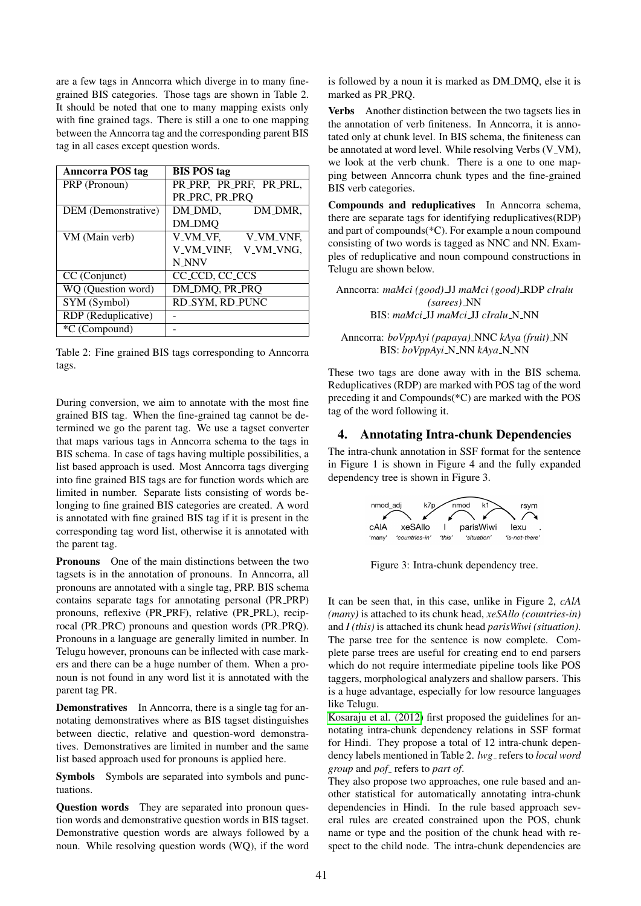are a few tags in Anncorra which diverge in to many finegrained BIS categories. Those tags are shown in Table 2. It should be noted that one to many mapping exists only with fine grained tags. There is still a one to one mapping between the Anncorra tag and the corresponding parent BIS tag in all cases except question words.

| <b>Anncorra POS tag</b> | <b>BIS POS tag</b>                      |
|-------------------------|-----------------------------------------|
| PRP (Pronoun)           | PR_PRP, PR_PRF, PR_PRL,                 |
|                         | PR_PRC, PR_PRQ                          |
| DEM (Demonstrative)     | DM_DMD,<br>DM_DMR.                      |
|                         | DM_DMQ                                  |
| VM (Main verb)          | V_VM_VF,<br>V_VM_VNF,                   |
|                         | V_VM_VINF.<br>V_VM_VNG.                 |
|                         | <b>N_NNV</b>                            |
| CC (Conjunct)           | CC <sub>CCD</sub> , CC <sub>CC</sub> CS |
| WQ (Question word)      | DM_DMQ, PR_PRQ                          |
| SYM (Symbol)            | RD_SYM, RD_PUNC                         |
| RDP (Reduplicative)     |                                         |
| <i>*C</i> (Compound)    |                                         |

Table 2: Fine grained BIS tags corresponding to Anncorra tags.

During conversion, we aim to annotate with the most fine grained BIS tag. When the fine-grained tag cannot be determined we go the parent tag. We use a tagset converter that maps various tags in Anncorra schema to the tags in BIS schema. In case of tags having multiple possibilities, a list based approach is used. Most Anncorra tags diverging into fine grained BIS tags are for function words which are limited in number. Separate lists consisting of words belonging to fine grained BIS categories are created. A word is annotated with fine grained BIS tag if it is present in the corresponding tag word list, otherwise it is annotated with the parent tag.

Pronouns One of the main distinctions between the two tagsets is in the annotation of pronouns. In Anncorra, all pronouns are annotated with a single tag, PRP. BIS schema contains separate tags for annotating personal (PR PRP) pronouns, reflexive (PR PRF), relative (PR PRL), reciprocal (PR PRC) pronouns and question words (PR PRQ). Pronouns in a language are generally limited in number. In Telugu however, pronouns can be inflected with case markers and there can be a huge number of them. When a pronoun is not found in any word list it is annotated with the parent tag PR.

Demonstratives In Anncorra, there is a single tag for annotating demonstratives where as BIS tagset distinguishes between diectic, relative and question-word demonstratives. Demonstratives are limited in number and the same list based approach used for pronouns is applied here.

Symbols Symbols are separated into symbols and punctuations.

Question words They are separated into pronoun question words and demonstrative question words in BIS tagset. Demonstrative question words are always followed by a noun. While resolving question words (WQ), if the word is followed by a noun it is marked as DM DMQ, else it is marked as PR\_PRO.

Verbs Another distinction between the two tagsets lies in the annotation of verb finiteness. In Anncorra, it is annotated only at chunk level. In BIS schema, the finiteness can be annotated at word level. While resolving Verbs (V\_VM), we look at the verb chunk. There is a one to one mapping between Anncorra chunk types and the fine-grained BIS verb categories.

Compounds and reduplicatives In Anncorra schema, there are separate tags for identifying reduplicatives(RDP) and part of compounds(\*C). For example a noun compound consisting of two words is tagged as NNC and NN. Examples of reduplicative and noun compound constructions in Telugu are shown below.

Anncorra: *maMci (good)* JJ *maMci (good)* RDP *cIralu (sarees)* NN BIS: *maMci* JJ *maMci* JJ *cIralu* N NN

Anncorra: *boVppAyi (papaya)* NNC *kAya (fruit)* NN BIS:  $boVppAvi$ <sub>N</sub>N<sub>N</sub>N<sub>KAya</sub><sub>N<sub>N</sub>N</sub>

These two tags are done away with in the BIS schema. Reduplicatives (RDP) are marked with POS tag of the word preceding it and Compounds(\*C) are marked with the POS tag of the word following it.

## 4. Annotating Intra-chunk Dependencies

The intra-chunk annotation in SSF format for the sentence in Figure 1 is shown in Figure 4 and the fully expanded dependency tree is shown in Figure 3.



Figure 3: Intra-chunk dependency tree.

It can be seen that, in this case, unlike in Figure 2, *cAlA (many)* is attached to its chunk head, *xeSAllo (countries-in)* and *I (this)* is attached its chunk head *parisWiwi (situation)*. The parse tree for the sentence is now complete. Complete parse trees are useful for creating end to end parsers which do not require intermediate pipeline tools like POS taggers, morphological analyzers and shallow parsers. This is a huge advantage, especially for low resource languages like Telugu.

[Kosaraju et al. \(2012\)](#page-4-4) first proposed the guidelines for annotating intra-chunk dependency relations in SSF format for Hindi. They propose a total of 12 intra-chunk dependency labels mentioned in Table 2. *lwg* refers to *local word group* and *pof* refers to *part of*.

They also propose two approaches, one rule based and another statistical for automatically annotating intra-chunk dependencies in Hindi. In the rule based approach several rules are created constrained upon the POS, chunk name or type and the position of the chunk head with respect to the child node. The intra-chunk dependencies are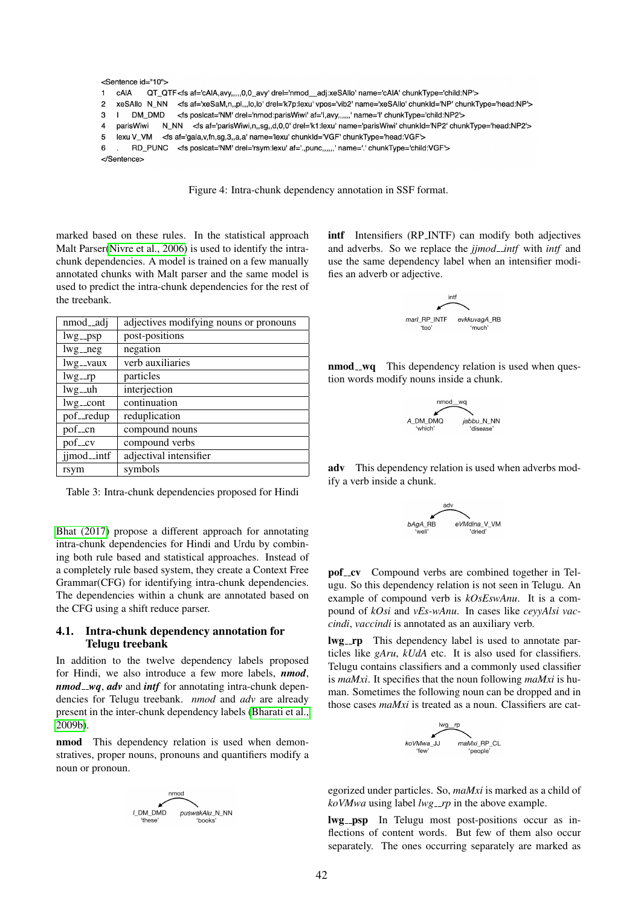```
<Sentence id="10">
\overline{1}cAIA
             QT_QTF<fs af='cAIA,avy,,,,,0,0_avy' drel='nmod__adj:xeSAIlo' name='cAIA' chunkType='child:NP'>
\overline{2}xeSAllo N_NN <fs af='xeSaM,n,,pl,,,lo,lo' drel='k7p:lexu' vpos='vib2' name='xeSAllo' chunkld='NP' chunkType='head:NP'>
3
    \mathbf{I}DM DMD
                       <fs posicat='NM' drel='nmod:parisWiwi' af='l,avy,,,,,,' name='l' chunkType='child:NP2'>
\overline{4}parisWiwi
                 N_NN <fs af='parisWiwi,n,,sg,,d,0,0' drel='k1:lexu' name='parisWiwi' chunkId='NP2' chunkType='head:NP2'>
5
    lexu V_VM <fs af='gala,v,fn,sg,3,,a,a' name='lexu' chunkId='VGF' chunkType='head:VGF'>
         RD_PUNC <fs posicat='NM' drel='rsym:lexu' af='.,punc,,,,,,' name='.' chunkType='child:VGF'>
6
</Sentence>
```
Figure 4: Intra-chunk dependency annotation in SSF format.

marked based on these rules. In the statistical approach Malt Parser[\(Nivre et al., 2006\)](#page-5-2) is used to identify the intrachunk dependencies. A model is trained on a few manually annotated chunks with Malt parser and the same model is used to predict the intra-chunk dependencies for the rest of the treebank.

| nmod <sub>-adj</sub> | adjectives modifying nouns or pronouns |
|----------------------|----------------------------------------|
| $1wg_{-}psp$         | post-positions                         |
| $lwg_{-}neg$         | negation                               |
| lwg__vaux            | verb auxiliaries                       |
| $lwg\_rp$            | particles                              |
| $lwg_{-}uh$          | interjection                           |
| $1wg_{-}cont$        | continuation                           |
| pof_redup            | reduplication                          |
| pof <sub>-cn</sub>   | compound nouns                         |
| pof_cv               | compound verbs                         |
| jjmod_intf           | adjectival intensifier                 |
| rsym                 | symbols                                |

Table 3: Intra-chunk dependencies proposed for Hindi

[Bhat \(2017\)](#page-4-5) propose a different approach for annotating intra-chunk dependencies for Hindi and Urdu by combining both rule based and statistical approaches. Instead of a completely rule based system, they create a Context Free Grammar(CFG) for identifying intra-chunk dependencies. The dependencies within a chunk are annotated based on the CFG using a shift reduce parser.

## 4.1. Intra-chunk dependency annotation for Telugu treebank

In addition to the twelve dependency labels proposed for Hindi, we also introduce a few more labels, *nmod*, *nmod\_wq, adv* and *intf* for annotating intra-chunk dependencies for Telugu treebank. *nmod* and *adv* are already present in the inter-chunk dependency labels [\(Bharati et al.,](#page-4-7) [2009b\)](#page-4-7).

nmod This dependency relation is used when demonstratives, proper nouns, pronouns and quantifiers modify a noun or pronoun.



intf Intensifiers (RP\_INTF) can modify both adjectives and adverbs. So we replace the *jjmod intf* with *intf* and use the same dependency label when an intensifier modifies an adverb or adjective.



nmod\_wq This dependency relation is used when question words modify nouns inside a chunk.



adv This dependency relation is used when adverbs modify a verb inside a chunk.



pof\_cv Compound verbs are combined together in Telugu. So this dependency relation is not seen in Telugu. An example of compound verb is *kOsEswAnu*. It is a compound of *kOsi* and *vEs-wAnu*. In cases like *ceyyAlsi vaccindi*, *vaccindi* is annotated as an auxiliary verb.

lwg\_rp This dependency label is used to annotate particles like *gAru*, *kUdA* etc. It is also used for classifiers. Telugu contains classifiers and a commonly used classifier is *maMxi*. It specifies that the noun following *maMxi* is human. Sometimes the following noun can be dropped and in those cases *maMxi* is treated as a noun. Classifiers are cat-



egorized under particles. So, *maMxi* is marked as a child of *koVMwa* using label *lwg<sub>-rp</sub>* in the above example.

lwg\_psp In Telugu most post-positions occur as inflections of content words. But few of them also occur separately. The ones occurring separately are marked as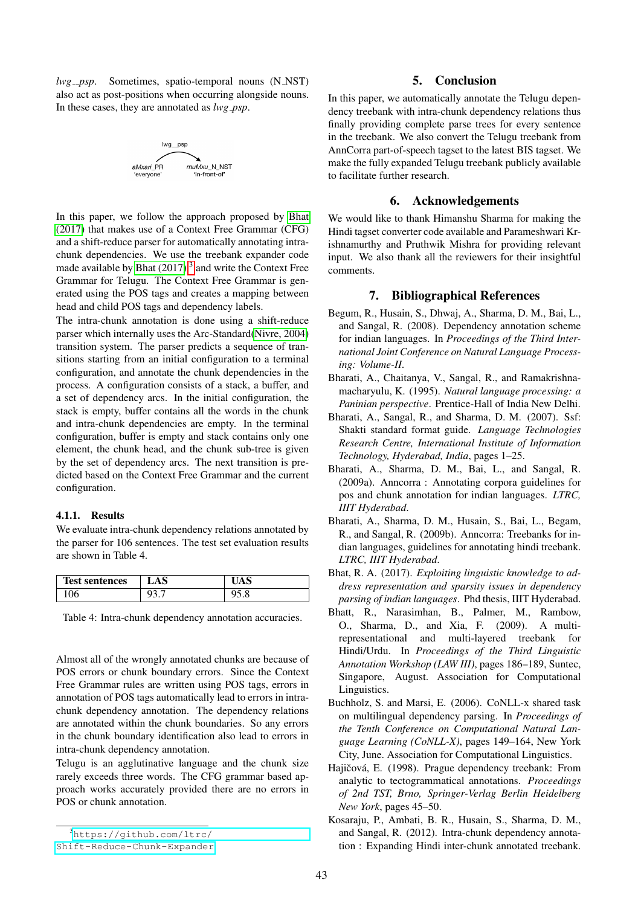*lwg\_psp.* Sometimes, spatio-temporal nouns (N\_NST) also act as post-positions when occurring alongside nouns. In these cases, they are annotated as *lwg psp*.



In this paper, we follow the approach proposed by [Bhat](#page-4-5) [\(2017\)](#page-4-5) that makes use of a Context Free Grammar (CFG) and a shift-reduce parser for automatically annotating intrachunk dependencies. We use the treebank expander code made available by Bhat  $(2017)^3$  $(2017)^3$  and write the Context Free Grammar for Telugu. The Context Free Grammar is generated using the POS tags and creates a mapping between head and child POS tags and dependency labels.

The intra-chunk annotation is done using a shift-reduce parser which internally uses the Arc-Standard[\(Nivre, 2004\)](#page-5-3) transition system. The parser predicts a sequence of transitions starting from an initial configuration to a terminal configuration, and annotate the chunk dependencies in the process. A configuration consists of a stack, a buffer, and a set of dependency arcs. In the initial configuration, the stack is empty, buffer contains all the words in the chunk and intra-chunk dependencies are empty. In the terminal configuration, buffer is empty and stack contains only one element, the chunk head, and the chunk sub-tree is given by the set of dependency arcs. The next transition is predicted based on the Context Free Grammar and the current configuration.

#### 4.1.1. Results

We evaluate intra-chunk dependency relations annotated by the parser for 106 sentences. The test set evaluation results are shown in Table 4.

| <b>Test sentences</b> | LAS |      |
|-----------------------|-----|------|
| vv                    |     | ,,,, |

Table 4: Intra-chunk dependency annotation accuracies.

Almost all of the wrongly annotated chunks are because of POS errors or chunk boundary errors. Since the Context Free Grammar rules are written using POS tags, errors in annotation of POS tags automatically lead to errors in intrachunk dependency annotation. The dependency relations are annotated within the chunk boundaries. So any errors in the chunk boundary identification also lead to errors in intra-chunk dependency annotation.

Telugu is an agglutinative language and the chunk size rarely exceeds three words. The CFG grammar based approach works accurately provided there are no errors in POS or chunk annotation.

#### 5. Conclusion

In this paper, we automatically annotate the Telugu dependency treebank with intra-chunk dependency relations thus finally providing complete parse trees for every sentence in the treebank. We also convert the Telugu treebank from AnnCorra part-of-speech tagset to the latest BIS tagset. We make the fully expanded Telugu treebank publicly available to facilitate further research.

#### 6. Acknowledgements

We would like to thank Himanshu Sharma for making the Hindi tagset converter code available and Parameshwari Krishnamurthy and Pruthwik Mishra for providing relevant input. We also thank all the reviewers for their insightful comments.

## 7. Bibliographical References

- <span id="page-4-8"></span>Begum, R., Husain, S., Dhwaj, A., Sharma, D. M., Bai, L., and Sangal, R. (2008). Dependency annotation scheme for indian languages. In *Proceedings of the Third International Joint Conference on Natural Language Processing: Volume-II*.
- <span id="page-4-1"></span>Bharati, A., Chaitanya, V., Sangal, R., and Ramakrishnamacharyulu, K. (1995). *Natural language processing: a Paninian perspective*. Prentice-Hall of India New Delhi.
- <span id="page-4-3"></span>Bharati, A., Sangal, R., and Sharma, D. M. (2007). Ssf: Shakti standard format guide. *Language Technologies Research Centre, International Institute of Information Technology, Hyderabad, India*, pages 1–25.
- <span id="page-4-9"></span>Bharati, A., Sharma, D. M., Bai, L., and Sangal, R. (2009a). Anncorra : Annotating corpora guidelines for pos and chunk annotation for indian languages. *LTRC, IIIT Hyderabad*.
- <span id="page-4-7"></span>Bharati, A., Sharma, D. M., Husain, S., Bai, L., Begam, R., and Sangal, R. (2009b). Anncorra: Treebanks for indian languages, guidelines for annotating hindi treebank. *LTRC, IIIT Hyderabad*.
- <span id="page-4-5"></span>Bhat, R. A. (2017). *Exploiting linguistic knowledge to address representation and sparsity issues in dependency parsing of indian languages*. Phd thesis, IIIT Hyderabad.
- <span id="page-4-2"></span>Bhatt, R., Narasimhan, B., Palmer, M., Rambow, O., Sharma, D., and Xia, F. (2009). A multirepresentational and multi-layered treebank for Hindi/Urdu. In *Proceedings of the Third Linguistic Annotation Workshop (LAW III)*, pages 186–189, Suntec, Singapore, August. Association for Computational Linguistics.
- <span id="page-4-6"></span>Buchholz, S. and Marsi, E. (2006). CoNLL-x shared task on multilingual dependency parsing. In *Proceedings of the Tenth Conference on Computational Natural Language Learning (CoNLL-X)*, pages 149–164, New York City, June. Association for Computational Linguistics.
- <span id="page-4-0"></span>Hajičová, E. (1998). Prague dependency treebank: From analytic to tectogrammatical annotations. *Proceedings of 2nd TST, Brno, Springer-Verlag Berlin Heidelberg New York*, pages 45–50.
- <span id="page-4-4"></span>Kosaraju, P., Ambati, B. R., Husain, S., Sharma, D. M., and Sangal, R. (2012). Intra-chunk dependency annotation : Expanding Hindi inter-chunk annotated treebank.

<span id="page-4-10"></span><sup>3</sup>[https://github.com/ltrc/](https://github.com/ltrc/Shift-Reduce-Chunk-Expander)

[Shift-Reduce-Chunk-Expander](https://github.com/ltrc/Shift-Reduce-Chunk-Expander)